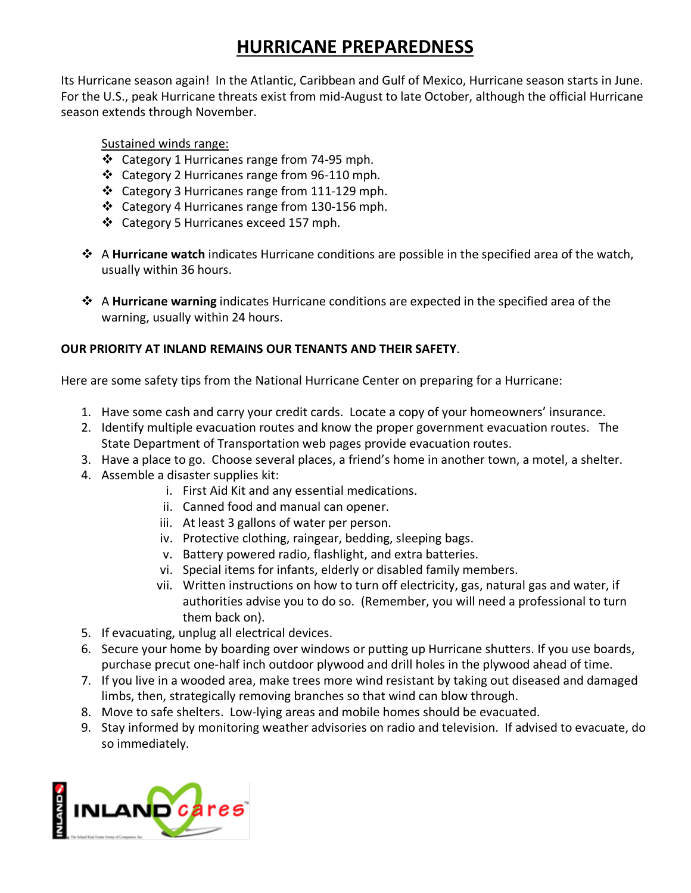## **HURRICANE PREPAREDNESS**

Its Hurricane season again! In the Atlantic, Caribbean and Gulf of Mexico, Hurricane season starts in June. For the U.S., peak Hurricane threats exist from mid-August to late October, although the official Hurricane season extends through November.

Sustained winds range:

- Category 1 Hurricanes range from 74-95 mph.
- Category 2 Hurricanes range from 96-110 mph.
- Category 3 Hurricanes range from 111-129 mph.
- Category 4 Hurricanes range from 130-156 mph.
- Category 5 Hurricanes exceed 157 mph.
- A **Hurricane watch** indicates Hurricane conditions are possible in the specified area of the watch, usually within 36 hours.
- A **Hurricane warning** indicates Hurricane conditions are expected in the specified area of the warning, usually within 24 hours.

## **OUR PRIORITY AT INLAND REMAINS OUR TENANTS AND THEIR SAFETY**.

Here are some safety tips from the National Hurricane Center on preparing for a Hurricane:

- 1. Have some cash and carry your credit cards. Locate a copy of your homeowners' insurance.
- 2. Identify multiple evacuation routes and know the proper government evacuation routes. The State Department of Transportation web pages provide evacuation routes.
- 3. Have a place to go. Choose several places, a friend's home in another town, a motel, a shelter.
- 4. Assemble a disaster supplies kit:
	- i. First Aid Kit and any essential medications.
	- ii. Canned food and manual can opener.
	- iii. At least 3 gallons of water per person.
	- iv. Protective clothing, raingear, bedding, sleeping bags.
	- v. Battery powered radio, flashlight, and extra batteries.
	- vi. Special items for infants, elderly or disabled family members.
	- vii. Written instructions on how to turn off electricity, gas, natural gas and water, if authorities advise you to do so. (Remember, you will need a professional to turn them back on).
- 5. If evacuating, unplug all electrical devices.
- 6. Secure your home by boarding over windows or putting up Hurricane shutters. If you use boards, purchase precut one-half inch outdoor plywood and drill holes in the plywood ahead of time.
- 7. If you live in a wooded area, make trees more wind resistant by taking out diseased and damaged limbs, then, strategically removing branches so that wind can blow through.
- 8. Move to safe shelters. Low-lying areas and mobile homes should be evacuated.
- 9. Stay informed by monitoring weather advisories on radio and television. If advised to evacuate, do so immediately.